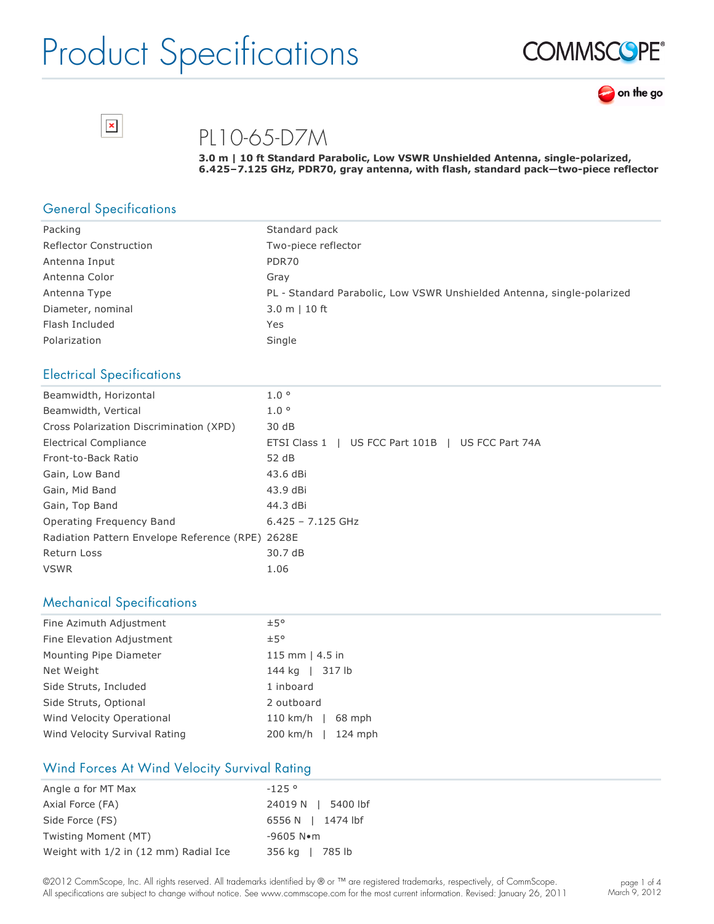



PL10-65-D7M

**3.0 m | 10 ft Standard Parabolic, Low VSWR Unshielded Antenna, singlepolarized,**  6.425-7.125 GHz, PDR70, gray antenna, with flash, standard pack-two-piece reflector

#### General Specifications

 $\pmb{\times}$ 

| Packing                       | Standard pack                                                          |
|-------------------------------|------------------------------------------------------------------------|
| <b>Reflector Construction</b> | Two-piece reflector                                                    |
| Antenna Input                 | PDR70                                                                  |
| Antenna Color                 | Grav                                                                   |
| Antenna Type                  | PL - Standard Parabolic, Low VSWR Unshielded Antenna, single-polarized |
| Diameter, nominal             | $3.0 m$   10 ft                                                        |
| Flash Included                | Yes                                                                    |
| Polarization                  | Single                                                                 |

#### Electrical Specifications

| Beamwidth, Horizontal                            | $1.0^\circ$                                       |
|--------------------------------------------------|---------------------------------------------------|
| Beamwidth, Vertical                              | 1.0 <sup>o</sup>                                  |
| Cross Polarization Discrimination (XPD)          | 30 dB                                             |
| Electrical Compliance                            | ETSI Class 1   US FCC Part 101B   US FCC Part 74A |
| Front-to-Back Ratio                              | 52 dB                                             |
| Gain, Low Band                                   | 43.6 dBi                                          |
| Gain, Mid Band                                   | 43.9 dBi                                          |
| Gain, Top Band                                   | 44.3 dBi                                          |
| Operating Frequency Band                         | $6.425 - 7.125$ GHz                               |
| Radiation Pattern Envelope Reference (RPE) 2628E |                                                   |
| Return Loss                                      | 30.7 dB                                           |
| <b>VSWR</b>                                      | 1.06                                              |

#### Mechanical Specifications

| Fine Azimuth Adjustment       | ±5°                    |  |  |
|-------------------------------|------------------------|--|--|
| Fine Elevation Adjustment     | ±5°                    |  |  |
| Mounting Pipe Diameter        | 115 mm $ $ 4.5 in      |  |  |
| Net Weight                    | 144 kg   317 lb        |  |  |
| Side Struts, Included         | 1 inboard              |  |  |
| Side Struts, Optional         | 2 outboard             |  |  |
| Wind Velocity Operational     | $110$ km/h  <br>68 mph |  |  |
| Wind Velocity Survival Rating | 200 km/h   124 mph     |  |  |

#### Wind Forces At Wind Velocity Survival Rating

| Angle a for MT Max                    | $-125°$               |
|---------------------------------------|-----------------------|
| Axial Force (FA)                      | 24019 N   5400 lbf    |
| Side Force (FS)                       | 6556 N   1474 lbf     |
| Twisting Moment (MT)                  | $-9605$ N $\bullet$ m |
| Weight with 1/2 in (12 mm) Radial Ice | 356 kg   785 lb       |

©2012 CommScope, Inc. All rights reserved. All trademarks identified by ® or ™ are registered trademarks, respectively, of CommScope. All specifications are subject to change without notice. See www.commscope.com for the most current information. Revised: January 26, 2011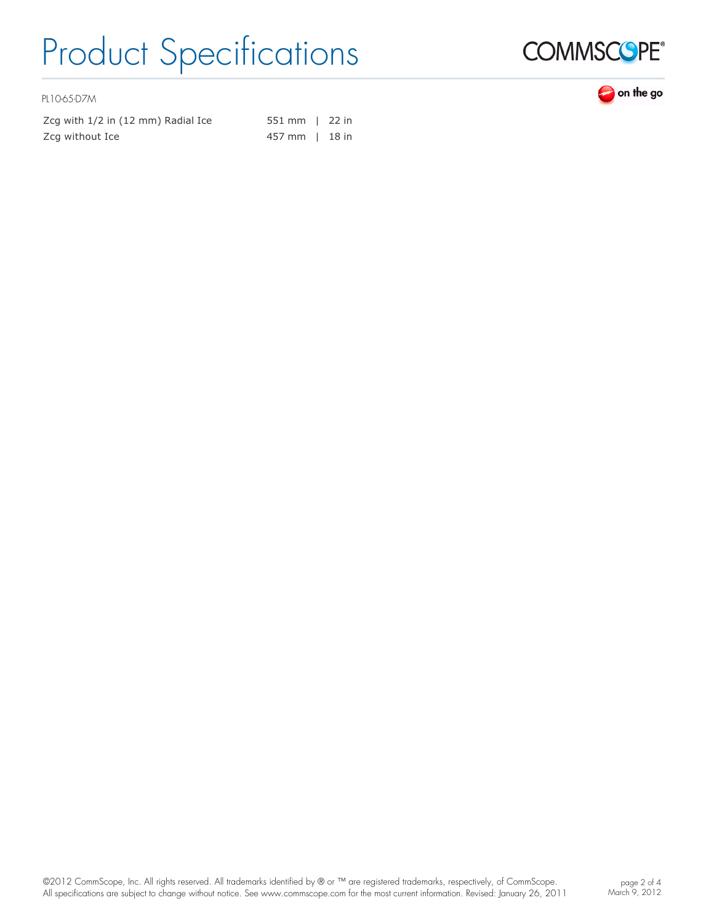

PL10-65-D7M

| Zcq with 1/2 in (12 mm) Radial Ice | 551 mm   22 in |  |
|------------------------------------|----------------|--|
| Zcg without Ice                    | 457 mm   18 in |  |

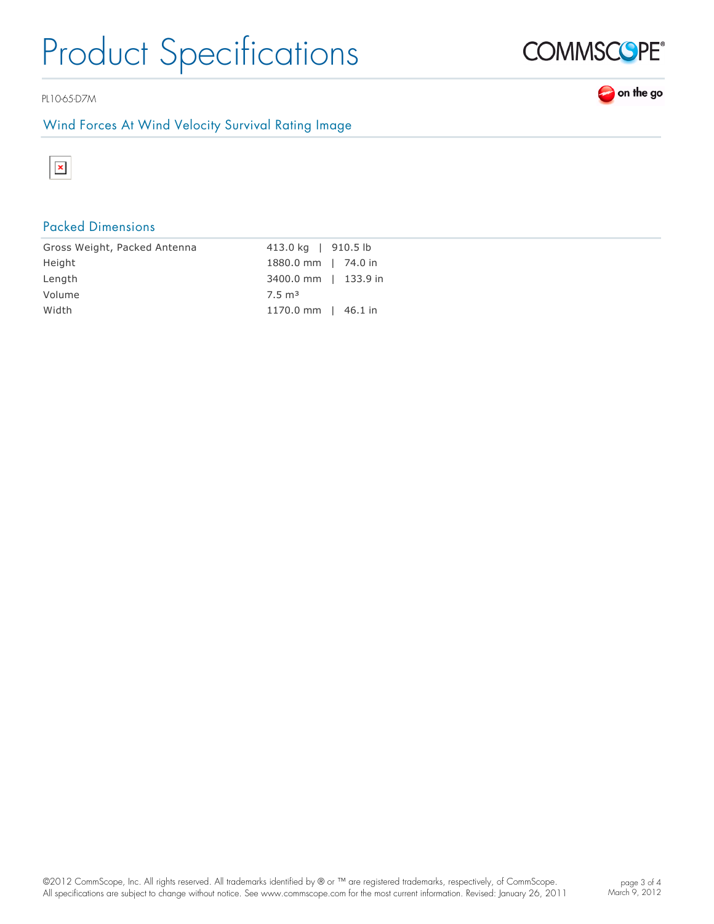PL10-65-D7M

### Wind Forces At Wind Velocity Survival Rating Image



### Packed Dimensions

| Gross Weight, Packed Antenna | 413.0 kg   910.5 lb       |
|------------------------------|---------------------------|
| Height                       | 1880.0 mm   74.0 in       |
| Length                       | 3400.0 mm   133.9 in      |
| Volume                       | $7.5 \text{ m}^3$         |
| Width                        | 1170.0 mm $\vert$ 46.1 in |